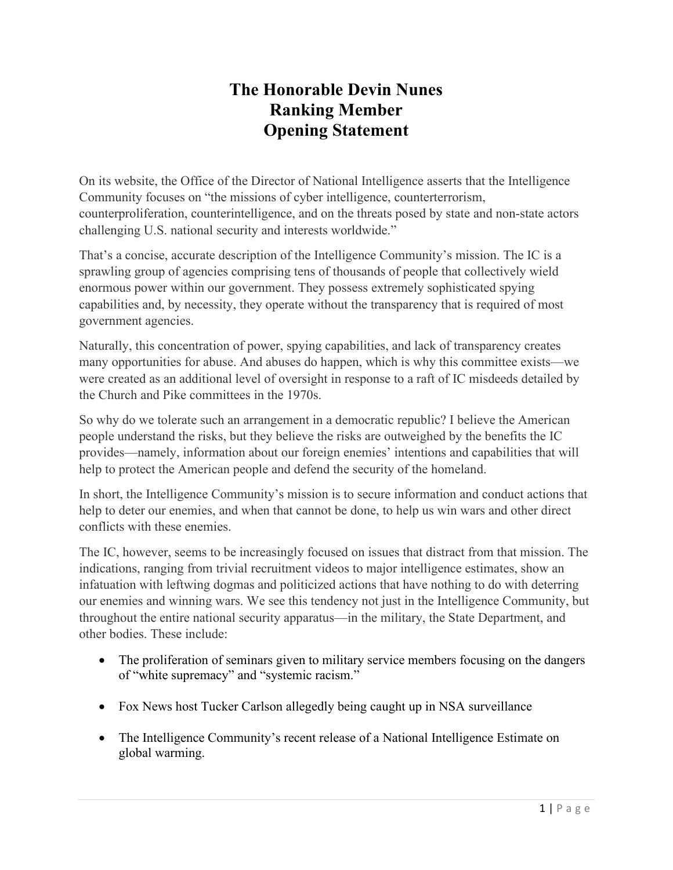## **The Honorable Devin Nunes Ranking Member Opening Statement**

On its website, the Office of the Director of National Intelligence asserts that the Intelligence Community focuses on "the missions of cyber intelligence, counterterrorism, counterproliferation, counterintelligence, and on the threats posed by state and non-state actors challenging U.S. national security and interests worldwide."

That's a concise, accurate description of the Intelligence Community's mission. The IC is a sprawling group of agencies comprising tens of thousands of people that collectively wield enormous power within our government. They possess extremely sophisticated spying capabilities and, by necessity, they operate without the transparency that is required of most government agencies.

Naturally, this concentration of power, spying capabilities, and lack of transparency creates many opportunities for abuse. And abuses do happen, which is why this committee exists—we were created as an additional level of oversight in response to a raft of IC misdeeds detailed by the Church and Pike committees in the 1970s.

So why do we tolerate such an arrangement in a democratic republic? I believe the American people understand the risks, but they believe the risks are outweighed by the benefits the IC provides—namely, information about our foreign enemies' intentions and capabilities that will help to protect the American people and defend the security of the homeland.

In short, the Intelligence Community's mission is to secure information and conduct actions that help to deter our enemies, and when that cannot be done, to help us win wars and other direct conflicts with these enemies.

The IC, however, seems to be increasingly focused on issues that distract from that mission. The indications, ranging from trivial recruitment videos to major intelligence estimates, show an infatuation with leftwing dogmas and politicized actions that have nothing to do with deterring our enemies and winning wars. We see this tendency not just in the Intelligence Community, but throughout the entire national security apparatus—in the military, the State Department, and other bodies. These include:

- The proliferation of seminars given to military service members focusing on the dangers of "white supremacy" and "systemic racism."
- Fox News host Tucker Carlson allegedly being caught up in NSA surveillance
- The Intelligence Community's recent release of a National Intelligence Estimate on global warming.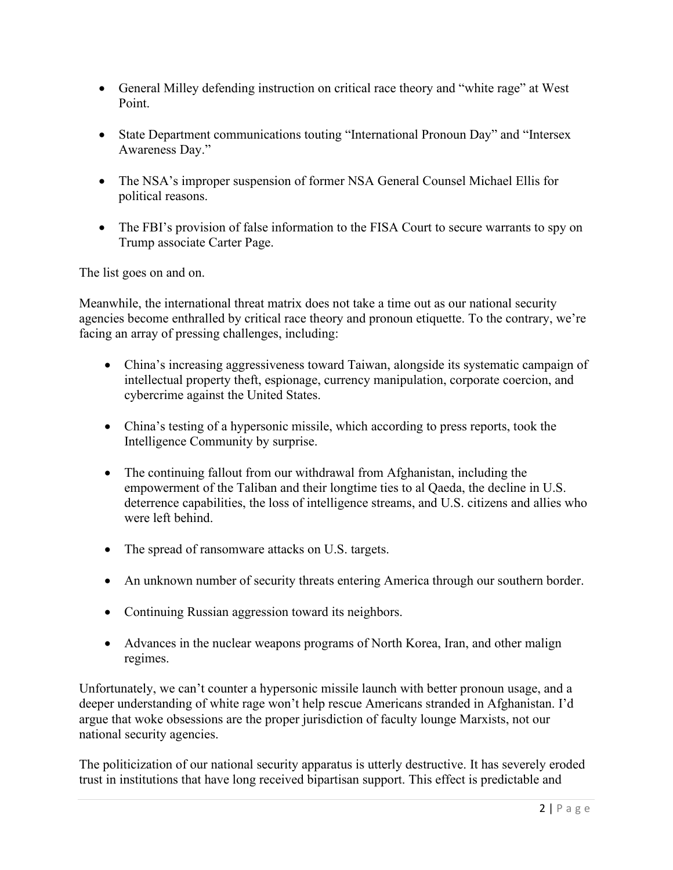- General Milley defending instruction on critical race theory and "white rage" at West Point.
- State Department communications touting "International Pronoun Day" and "Intersex Awareness Day."
- The NSA's improper suspension of former NSA General Counsel Michael Ellis for political reasons.
- The FBI's provision of false information to the FISA Court to secure warrants to spy on Trump associate Carter Page.

The list goes on and on.

Meanwhile, the international threat matrix does not take a time out as our national security agencies become enthralled by critical race theory and pronoun etiquette. To the contrary, we're facing an array of pressing challenges, including:

- China's increasing aggressiveness toward Taiwan, alongside its systematic campaign of intellectual property theft, espionage, currency manipulation, corporate coercion, and cybercrime against the United States.
- China's testing of a hypersonic missile, which according to press reports, took the Intelligence Community by surprise.
- The continuing fallout from our withdrawal from Afghanistan, including the empowerment of the Taliban and their longtime ties to al Qaeda, the decline in U.S. deterrence capabilities, the loss of intelligence streams, and U.S. citizens and allies who were left behind.
- The spread of ransomware attacks on U.S. targets.
- An unknown number of security threats entering America through our southern border.
- Continuing Russian aggression toward its neighbors.
- Advances in the nuclear weapons programs of North Korea, Iran, and other malign regimes.

Unfortunately, we can't counter a hypersonic missile launch with better pronoun usage, and a deeper understanding of white rage won't help rescue Americans stranded in Afghanistan. I'd argue that woke obsessions are the proper jurisdiction of faculty lounge Marxists, not our national security agencies.

The politicization of our national security apparatus is utterly destructive. It has severely eroded trust in institutions that have long received bipartisan support. This effect is predictable and